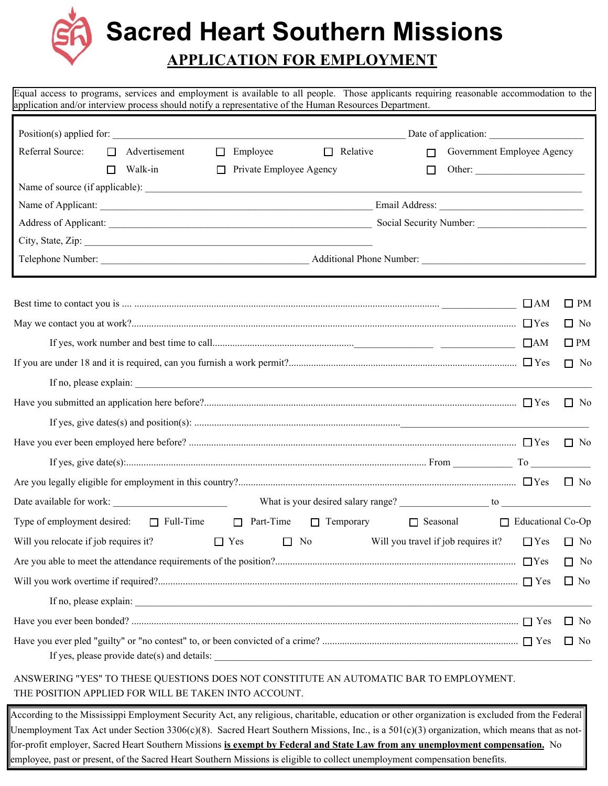**Sacred Heart Southern Missions**

# **APPLICATION FOR EMPLOYMENT**

Equal access to programs, services and employment is available to all people. Those applicants requiring reasonable accommodation to the application and/or interview process should notify a representative of the Human Resources Department.

| Position(s) applied for:                                                       |        |                        |            |                         |           |                 |                                     | Date of application:       |                          |              |
|--------------------------------------------------------------------------------|--------|------------------------|------------|-------------------------|-----------|-----------------|-------------------------------------|----------------------------|--------------------------|--------------|
| Referral Source:                                                               | $\Box$ | Advertisement          | □          | Employee                |           | $\Box$ Relative | $\Box$                              | Government Employee Agency |                          |              |
|                                                                                | П      | Walk-in                | □          | Private Employee Agency |           |                 | $\Box$                              |                            |                          |              |
|                                                                                |        |                        |            |                         |           |                 |                                     |                            |                          |              |
|                                                                                |        |                        |            |                         |           |                 |                                     |                            |                          |              |
|                                                                                |        |                        |            |                         |           |                 |                                     |                            |                          |              |
| City, State, Zip:                                                              |        |                        |            |                         |           |                 |                                     |                            |                          |              |
|                                                                                |        |                        |            |                         |           |                 |                                     |                            |                          |              |
|                                                                                |        |                        |            |                         |           |                 |                                     |                            | $\Box$ AM                | $\square$ PM |
|                                                                                |        |                        |            |                         |           |                 |                                     |                            |                          | $\Box$ No    |
|                                                                                |        |                        |            |                         |           |                 |                                     |                            | $\Box$ AM                | $\square$ PM |
|                                                                                |        |                        |            |                         |           |                 |                                     |                            |                          | $\Box$ No    |
|                                                                                |        |                        |            |                         |           |                 |                                     |                            |                          |              |
|                                                                                |        |                        |            |                         |           |                 |                                     |                            |                          | $\Box$ No    |
|                                                                                |        |                        |            |                         |           |                 |                                     |                            |                          |              |
|                                                                                |        |                        |            |                         |           |                 |                                     |                            |                          | $\Box$ No    |
|                                                                                |        |                        |            |                         |           |                 |                                     |                            |                          |              |
|                                                                                |        |                        |            |                         |           |                 |                                     |                            |                          |              |
|                                                                                |        |                        |            |                         |           |                 |                                     |                            |                          |              |
| Type of employment desired: $\Box$ Full-Time $\Box$ Part-Time $\Box$ Temporary |        |                        |            |                         |           |                 |                                     | $\Box$ Seasonal            | $\Box$ Educational Co-Op |              |
| Will you relocate if job requires it?                                          |        |                        | $\Box$ Yes |                         | $\Box$ No |                 | Will you travel if job requires it? |                            | $\Box$ Yes               | $\Box$ No    |
|                                                                                |        |                        |            |                         |           |                 |                                     |                            |                          | $\Box$ No    |
|                                                                                |        |                        |            |                         |           |                 |                                     |                            |                          | $\Box$ No    |
|                                                                                |        | If no, please explain: |            |                         |           |                 |                                     |                            |                          |              |
|                                                                                |        |                        |            |                         |           |                 |                                     |                            |                          | $\Box$ No    |
|                                                                                |        |                        |            |                         |           |                 |                                     |                            |                          | $\Box$ No    |

#### ANSWERING "YES" TO THESE QUESTIONS DOES NOT CONSTITUTE AN AUTOMATIC BAR TO EMPLOYMENT. THE POSITION APPLIED FOR WILL BE TAKEN INTO ACCOUNT.

According to the Mississippi Employment Security Act, any religious, charitable, education or other organization is excluded from the Federal Unemployment Tax Act under Section  $3306(c)(8)$ . Sacred Heart Southern Missions, Inc., is a  $501(c)(3)$  organization, which means that as notfor-profit employer, Sacred Heart Southern Missions **is exempt by Federal and State Law from any unemployment compensation.** No employee, past or present, of the Sacred Heart Southern Missions is eligible to collect unemployment compensation benefits.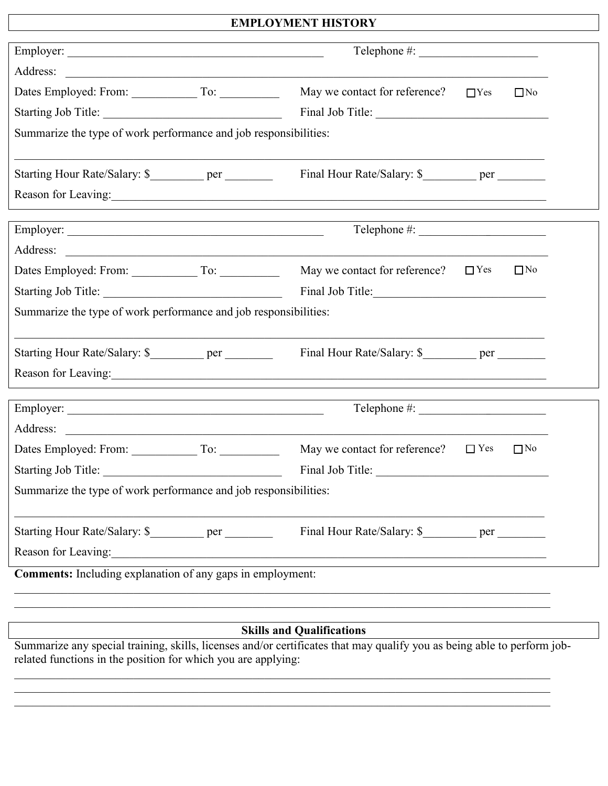### **EMPLOYMENT HISTORY**

 $\mathbf{I}$ 

| Address:<br><u> 1980 - Johann Barbara, martxa alemaniar arg</u>                                                                                    |                                                                                                                                                                                                                                |            |           |  |
|----------------------------------------------------------------------------------------------------------------------------------------------------|--------------------------------------------------------------------------------------------------------------------------------------------------------------------------------------------------------------------------------|------------|-----------|--|
| Dates Employed: From: To: To:                                                                                                                      | May we contact for reference?                                                                                                                                                                                                  | $\Box$ Yes | $\Box$ No |  |
|                                                                                                                                                    | Final Job Title:                                                                                                                                                                                                               |            |           |  |
| Summarize the type of work performance and job responsibilities:                                                                                   |                                                                                                                                                                                                                                |            |           |  |
| Starting Hour Rate/Salary: \$___________ per ________                                                                                              | Final Hour Rate/Salary: \$___________ per ________                                                                                                                                                                             |            |           |  |
|                                                                                                                                                    | Reason for Leaving: 1988. The Contract of the Contract of the Contract of the Contract of the Contract of the Contract of the Contract of the Contract of the Contract of the Contract of the Contract of the Contract of the  |            |           |  |
|                                                                                                                                                    |                                                                                                                                                                                                                                |            |           |  |
| Address:<br><u> 1989 - John Stein, markin film yn y brenin y brenin y brenin y brenin y brenin y brenin y brenin y brenin y</u>                    |                                                                                                                                                                                                                                |            |           |  |
|                                                                                                                                                    | May we contact for reference?                                                                                                                                                                                                  | $\Box$ Yes | $\Box$ No |  |
|                                                                                                                                                    | Final Job Title:                                                                                                                                                                                                               |            |           |  |
|                                                                                                                                                    |                                                                                                                                                                                                                                |            |           |  |
| Summarize the type of work performance and job responsibilities:                                                                                   |                                                                                                                                                                                                                                |            |           |  |
| Starting Hour Rate/Salary: \$___________ per ________                                                                                              | Final Hour Rate/Salary: \$____________ per _________                                                                                                                                                                           |            |           |  |
|                                                                                                                                                    | Reason for Leaving: 1988. The Manual Contract of Leaving Contract of Leaving Contract of Leaving Contract of Leaving Contract of Leaving Contract of Leaving Contract of Leaving Contract of Leaving Contract of Leaving Contr |            |           |  |
|                                                                                                                                                    |                                                                                                                                                                                                                                |            |           |  |
| Address:                                                                                                                                           |                                                                                                                                                                                                                                |            |           |  |
| <u> 1989 - Johann Harry Harry Harry Harry Harry Harry Harry Harry Harry Harry Harry Harry Harry Harry Harry Harry</u><br>Dates Employed: From: To: | May we contact for reference?                                                                                                                                                                                                  | $\Box$ Yes | $\Box$ No |  |
| Starting Job Title:                                                                                                                                | Final Job Title:                                                                                                                                                                                                               |            |           |  |
| Summarize the type of work performance and job responsibilities:                                                                                   |                                                                                                                                                                                                                                |            |           |  |
| Starting Hour Rate/Salary: \$___________ per ________                                                                                              | Final Hour Rate/Salary: \$____________ per _________                                                                                                                                                                           |            |           |  |

# **Skills and Qualifications**

Summarize any special training, skills, licenses and/or certificates that may qualify you as being able to perform jobrelated functions in the position for which you are applying:

 $\_$  $\_$  $\_$ 

 $\_$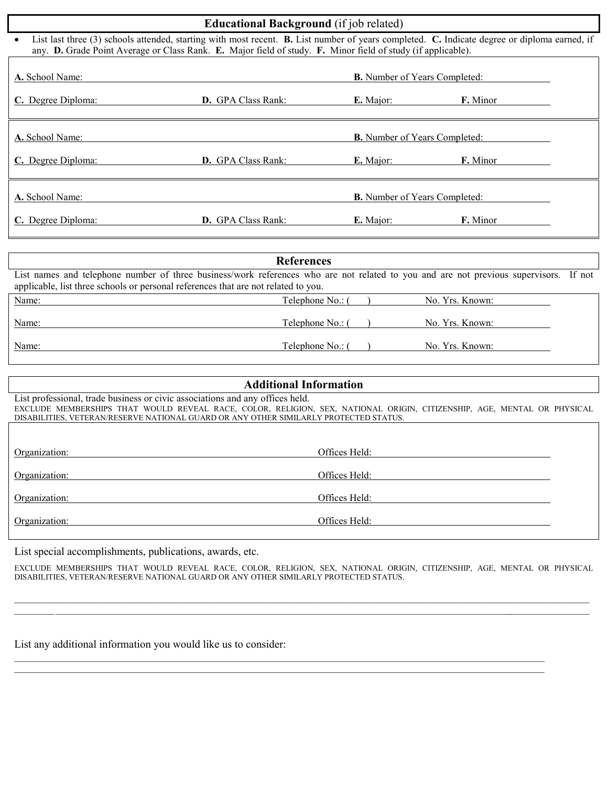| <b>Educational Background</b> (if job related)                                                                                                                                                                                                                             |                                      |                                      |                 |  |  |
|----------------------------------------------------------------------------------------------------------------------------------------------------------------------------------------------------------------------------------------------------------------------------|--------------------------------------|--------------------------------------|-----------------|--|--|
| List last three (3) schools attended, starting with most recent. <b>B.</b> List number of years completed. <b>C.</b> Indicate degree or diploma earned, if<br>any. D. Grade Point Average or Class Rank. E. Major field of study. F. Minor field of study (if applicable). |                                      |                                      |                 |  |  |
| A. School Name:                                                                                                                                                                                                                                                            | <b>B.</b> Number of Years Completed: |                                      |                 |  |  |
| C. Degree Diploma:                                                                                                                                                                                                                                                         | <b>D.</b> GPA Class Rank:            | E. Major:                            | <b>F.</b> Minor |  |  |
| A. School Name:                                                                                                                                                                                                                                                            | <b>B.</b> Number of Years Completed: |                                      |                 |  |  |
| C. Degree Diploma:                                                                                                                                                                                                                                                         | <b>D.</b> GPA Class Rank:            | E. Major:                            | <b>F.</b> Minor |  |  |
| A. School Name:                                                                                                                                                                                                                                                            |                                      | <b>B.</b> Number of Years Completed: |                 |  |  |
| C. Degree Diploma:                                                                                                                                                                                                                                                         | <b>D.</b> GPA Class Rank:            | <b>E.</b> Major:                     | <b>F.</b> Minor |  |  |
|                                                                                                                                                                                                                                                                            |                                      |                                      |                 |  |  |

| <b>References</b>                                                                                                                                                                                                           |                  |  |                 |  |  |  |
|-----------------------------------------------------------------------------------------------------------------------------------------------------------------------------------------------------------------------------|------------------|--|-----------------|--|--|--|
| List names and telephone number of three business/work references who are not related to you and are not previous supervisors. If not<br>applicable, list three schools or personal references that are not related to you. |                  |  |                 |  |  |  |
| Name:                                                                                                                                                                                                                       | Telephone No.: ( |  | No. Yrs. Known: |  |  |  |
| Name:                                                                                                                                                                                                                       | Telephone No.: ( |  | No. Yrs. Known: |  |  |  |
| Name:                                                                                                                                                                                                                       | Telephone No.: ( |  | No. Yrs. Known: |  |  |  |

#### **Additional Information**

List professional, trade business or civic associations and any offices held. EXCLUDE MEMBERSHIPS THAT WOULD REVEAL RACE, COLOR, RELIGION, SEX, NATIONAL ORIGIN, CITIZENSHIP, AGE, MENTAL OR PHYSICAL DISABILITIES, VETERAN/RESERVE NATIONAL GUARD OR ANY OTHER SIMILARLY PROTECTED STATUS.

| Organization: | Offices Held: |
|---------------|---------------|
| Organization: | Offices Held: |
| Organization: | Offices Held: |
| Organization: | Offices Held: |

List special accomplishments, publications, awards, etc.

 $\overline{\phantom{a}}$  $\overline{\phantom{a}}$  $\overline{\phantom{a}}$  $\overline{\phantom{a}}$  $\overline{\phantom{a}}$ 

 $\overline{\phantom{a}}$  $\overline{\phantom{a}}$  $\overline{\phantom{a}}$  $\overline{\phantom{a}}$  $\overline{\phantom{a}}$  $\overline{\phantom{a}}$ 

 $\overline{\phantom{a}}$ 

 $\overline{\phantom{a}}$ 

 $\overline{\phantom{a}}$ 

 $\overline{\phantom{a}}$ 

EXCLUDE MEMBERSHIPS THAT WOULD REVEAL RACE, COLOR, RELIGION, SEX, NATIONAL ORIGIN, CITIZENSHIP, AGE, MENTAL OR PHYSICAL DISABILITIES, VETERAN/RESERVE NATIONAL GUARD OR ANY OTHER SIMILARLY PROTECTED STATUS.

 $\_$  ,  $\_$  ,  $\_$  ,  $\_$  ,  $\_$  ,  $\_$  ,  $\_$  ,  $\_$  ,  $\_$  ,  $\_$  ,  $\_$  ,  $\_$  ,  $\_$  ,  $\_$  ,  $\_$  ,  $\_$  ,  $\_$  ,  $\_$  ,  $\_$  ,  $\_$  ,  $\_$  ,  $\_$  ,  $\_$  ,  $\_$  ,  $\_$  ,  $\_$  ,  $\_$  ,  $\_$  ,  $\_$  ,  $\_$  ,  $\_$  ,  $\_$  ,  $\_$  ,  $\_$  ,  $\_$  ,  $\_$  ,  $\_$  ,

 $\_$  ,  $\_$  ,  $\_$  ,  $\_$  ,  $\_$  ,  $\_$  ,  $\_$  ,  $\_$  ,  $\_$  ,  $\_$  ,  $\_$  ,  $\_$  ,  $\_$  ,  $\_$  ,  $\_$  ,  $\_$  ,  $\_$  ,  $\_$  ,  $\_$  ,  $\_$  ,  $\_$  ,  $\_$  ,  $\_$  ,  $\_$  ,  $\_$  ,  $\_$  ,  $\_$  ,  $\_$  ,  $\_$  ,  $\_$  ,  $\_$  ,  $\_$  ,  $\_$  ,  $\_$  ,  $\_$  ,  $\_$  ,  $\_$  ,

 $\overline{\phantom{a}}$ 

 $\overline{\phantom{a}}$  , and the set of the set of the set of the set of the set of the set of the set of the set of the set of the set of the set of the set of the set of the set of the set of the set of the set of the set of the s

 $\mathcal{L}_\text{max}$  , where  $\mathcal{L}_\text{max}$  and  $\mathcal{L}_\text{max}$ 

 $\mathcal{L}=\mathcal{L}$ 

 $\overline{\phantom{a}}$ 

 $\frac{1}{2}$ 

 $\overline{\phantom{a}}$  $\mathcal{L}$ 

List any additional information you would like us to consider:

 $\_$  , and the set of the set of the set of the set of the set of the set of the set of the set of the set of the set of the set of the set of the set of the set of the set of the set of the set of the set of the set of th

 $\mathcal{L}_\text{max}$  and  $\mathcal{L}_\text{max}$  and  $\mathcal{L}_\text{max}$  and  $\mathcal{L}_\text{max}$  and  $\mathcal{L}_\text{max}$  and  $\mathcal{L}_\text{max}$